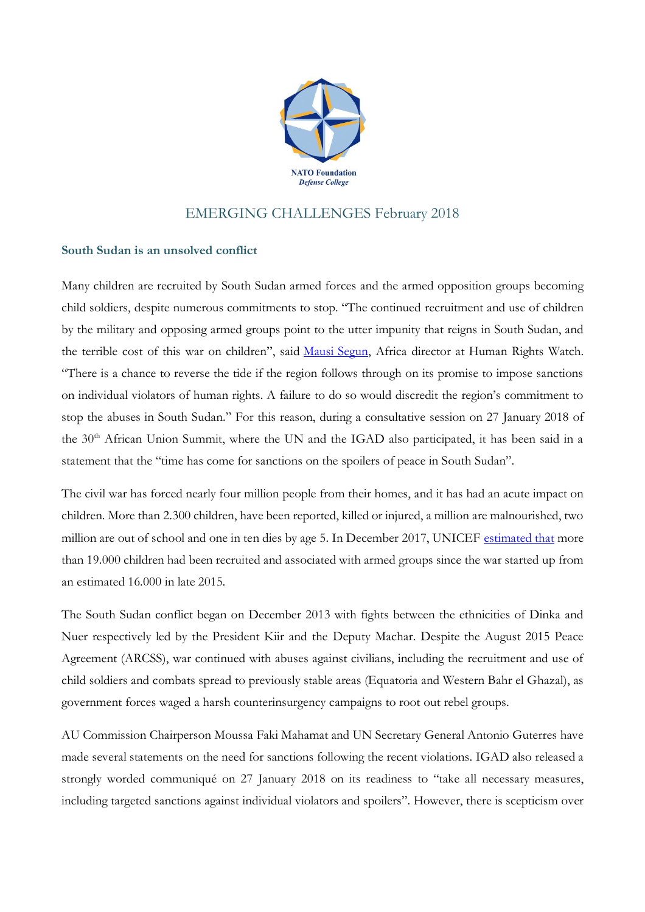

## EMERGING CHALLENGES February 2018

## **South Sudan is an unsolved conflict**

Many children are recruited by South Sudan armed forces and the armed opposition groups becoming child soldiers, despite numerous commitments to stop. "The continued recruitment and use of children by the military and opposing armed groups point to the utter impunity that reigns in South Sudan, and the terrible cost of this war on children", said [Mausi Segun,](https://www.hrw.org/about/people/mausi-segun) Africa director at Human Rights Watch. "There is a chance to reverse the tide if the region follows through on its promise to impose sanctions on individual violators of human rights. A failure to do so would discredit the region's commitment to stop the abuses in South Sudan." For this reason, during a consultative session on 27 January 2018 of the 30<sup>th</sup> African Union Summit, where the UN and the IGAD also participated, it has been said in a statement that the "time has come for sanctions on the spoilers of peace in South Sudan".

The civil war has forced nearly four million people from their homes, and it has had an acute impact on children. More than 2.300 children, have been reported, killed or injured, a million are malnourished, two million are out of school and one in ten dies by age 5. In December 2017, UNICEF [estimated that](https://reliefweb.int/node/2371229) more than 19.000 children had been recruited and associated with armed groups since the war started up from an estimated 16.000 in late 2015.

The South Sudan conflict began on December 2013 with fights between the ethnicities of Dinka and Nuer respectively led by the President Kiir and the Deputy Machar. Despite the August 2015 Peace Agreement (ARCSS), war continued with abuses against civilians, including the recruitment and use of child soldiers and combats spread to previously stable areas (Equatoria and Western Bahr el Ghazal), as government forces waged a harsh counterinsurgency campaigns to root out rebel groups.

AU Commission Chairperson Moussa Faki Mahamat and UN Secretary General Antonio Guterres have made several statements on the need for sanctions following the recent violations. IGAD also released a strongly worded communiqué on 27 January 2018 on its readiness to "take all necessary measures, including targeted sanctions against individual violators and spoilers". However, there is scepticism over